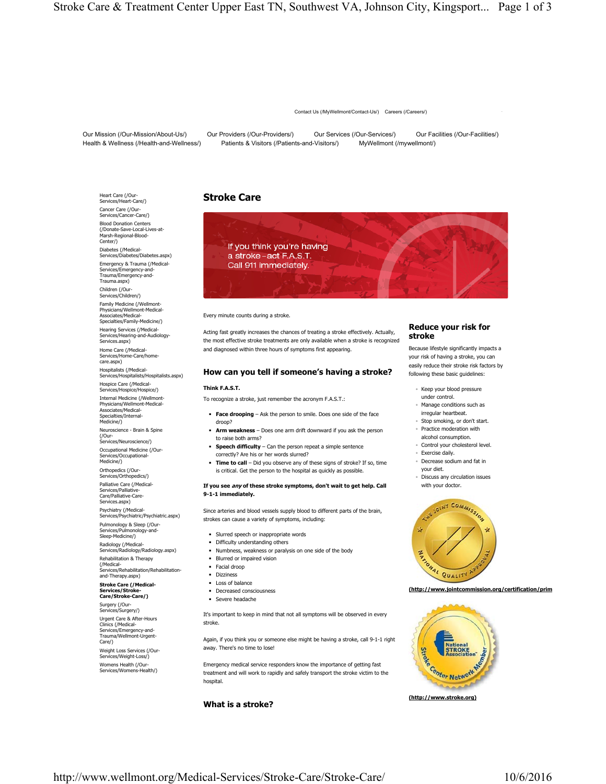Contact Us (/MyWellmont/Contact-Us/) Careers (/Careers/)

Our Mission (/Our-Mission/About-Us/) Our Providers (/Our-Providers/) Our Services (/Our-Services/) Our Facilities (/Our-Facilities/) Health & Wellness (/Health-and-Wellness/) Patients & Visitors (/Patients-and-Visitors/) MyWellmont (/mywellmont/)

Heart Care (/Our-<br>Services/Heart-Care/) **Stroke Care** Cancer Care (/Our-Services/Cancer-Care/) Blood Donation Centers (/Donate-Save-Local-Lives-at-Marsh-Regional-Blood-Center/) Diabetes (/Medical-Services/Diabetes/Diabetes.aspx) Emergency & Trauma (/Medical-Services/Emergency-and-Trauma/Emergency-and-Trauma.aspx) Children (/Our-Services/Children/) Family Medicine (/Wellmont-Physicians/Wellmont-Medical-Associates/Medical-Specialties/Family-Medicine/) Hearing Services (/Medical-Services/Hearing-and-Audiology-Services.aspx) Home Care (/Medical-Services/Home-Care/homecare.aspx)

Hospitalists (/Medical-Services/Hospitalists/Hospitalists.aspx) Hospice Care (/Medical-Services/Hospice/Hospice/) Internal Medicine (/Wellmont-Physicians/Wellmont-Medical-Associates/Medical-Specialties/Internal-Medicine/)

Neuroscience - Brain & Spine (/Our-Services/Neuroscience/)

Occupational Medicine (/Our-Services/Occupational-Medicine/)

Orthopedics (/Our-Services/Orthopedics/) Palliative Care (/Medical-Services/Palliativ

Care/Palliative-Care-Services.aspx) Psychiatry (/Medical-

Services/Psychiatric/Psychiatric.aspx)

- Pulmonology & Sleep (/Our-Services/Pulmonology-and-Sleep-Medicine/) Radiology (/Medical-
- Services/Radiology/Radiology.aspx) Rehabilitation & Therapy

(/Medical-Services/Rehabilitation/Rehabilitationand-Therapy.aspx)

# **Stroke Care (/Medical-**

**Services/Stroke-Care/Stroke-Care/)** Surgery (/Our-

Services/Surgery/) Urgent Care & After-Hours Clinics (/Medical-Services/Emergency-and-Trauma/Wellmont-Urgent-Care/)

Weight Loss Services (/Our-Services/Weight-Loss/) Womens Health (/Our-Services/Womens-Health/)

If you think you're having a stroke-act F.A.S.T. Call 911 immediately.

## Every minute counts during a stroke.

Acting fast greatly increases the chances of treating a stroke effectively. Actually, the most effective stroke treatments are only available when a stroke is recognized and diagnosed within three hours of symptoms first appearing.

## **How can you tell if someone's having a stroke?**

## **Think F.A.S.T.**

To recognize a stroke, just remember the acronym F.A.S.T.:

- **Face drooping** Ask the person to smile. Does one side of the face droop?
- ◾ **Arm weakness** Does one arm drift downward if you ask the person to raise both arms?
- **Speech difficulty** Can the person repeat a simple sentence correctly? Are his or her words slurred?
- **Time to call** Did you observe any of these signs of stroke? If so, time is critical. Get the person to the hospital as quickly as possible.

### **If you see any of these stroke symptoms, don't wait to get help. Call 9-1-1 immediately.**

Since arteries and blood vessels supply blood to different parts of the brain, strokes can cause a variety of symptoms, including:

- Slurred speech or inappropriate words
- Difficulty understanding others
- Numbness, weakness or paralysis on one side of the body
- Blurred or impaired vision
- ◾ Facial droop
- ◾ Dizziness
- Loss of balance
- Decreased consciousness
- ◾ Severe headache
- 

It's important to keep in mind that not all symptoms will be observed in every stroke.

Again, if you think you or someone else might be having a stroke, call 9-1-1 right away. There's no time to lose!

Emergency medical service responders know the importance of getting fast treatment and will work to rapidly and safely transport the stroke victim to the hospital.

## **What is a stroke?**



Because lifestyle significantly impacts a your risk of having a stroke, you can easily reduce their stroke risk factors by following these basic guidelines:

- Keep your blood pressure
- under control. ◦ Manage conditions such as irregular heartbeat.
- Stop smoking, or don't start. ◦ Practice moderation with
- alcohol consumption. ◦ Control your cholesterol level.
- Exercise daily.
- Decrease sodium and fat in your diet.
- Discuss any circulation issues with your doctor.



**(http://www.jointcommission.org/certification/prim**



**(http://www.stroke.org)**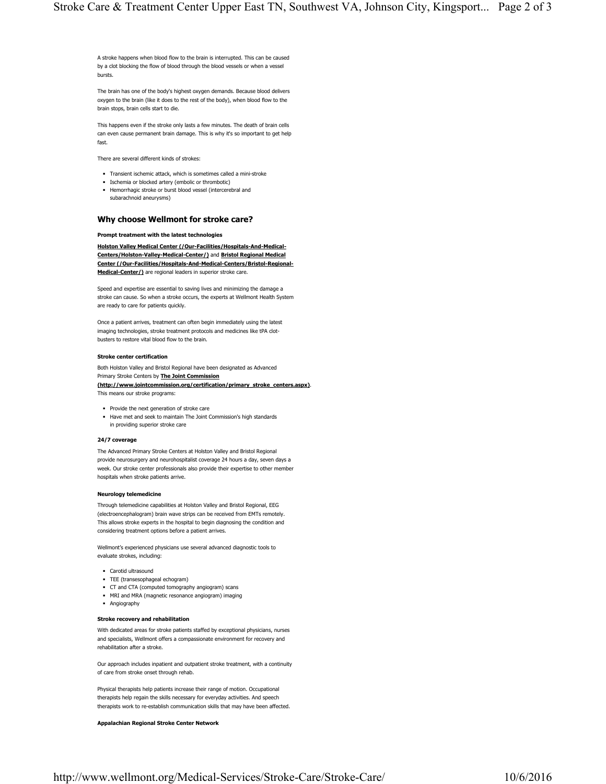A stroke happens when blood flow to the brain is interrupted. This can be caused by a clot blocking the flow of blood through the blood vessels or when a vessel bursts.

The brain has one of the body's highest oxygen demands. Because blood delivers oxygen to the brain (like it does to the rest of the body), when blood flow to the brain stops, brain cells start to die.

This happens even if the stroke only lasts a few minutes. The death of brain cells can even cause permanent brain damage. This is why it's so important to get help fast.

There are several different kinds of strokes:

- Transient ischemic attack, which is sometimes called a mini-stroke
- **■** Ischemia or blocked artery (embolic or thrombotic)
- ◾ Hemorrhagic stroke or burst blood vessel (intercerebral and subarachnoid aneurysms)

## **Why choose Wellmont for stroke care?**

## **Prompt treatment with the latest technologies**

**Holston Valley Medical Center (/Our-Facilities/Hospitals-And-Medical-Centers/Holston-Valley-Medical-Center/)** and **Bristol Regional Medical Center (/Our-Facilities/Hospitals-And-Medical-Centers/Bristol-Regional-Medical-Center/)** are regional leaders in superior stroke care.

Speed and expertise are essential to saving lives and minimizing the damage a stroke can cause. So when a stroke occurs, the experts at Wellmont Health System are ready to care for patients quickly.

Once a patient arrives, treatment can often begin immediately using the latest imaging technologies, stroke treatment protocols and medicines like tPA clotbusters to restore vital blood flow to the brain.

#### **Stroke center certification**

Both Holston Valley and Bristol Regional have been designated as Advanced Primary Stroke Centers by **The Joint Commission**

**(http://www.jointcommission.org/certification/primary\_stroke\_centers.aspx)**. This means our stroke programs:

- Provide the next generation of stroke care
- Have met and seek to maintain The Joint Commission's high standards in providing superior stroke care

## **24/7 coverage**

The Advanced Primary Stroke Centers at Holston Valley and Bristol Regional provide neurosurgery and neurohospitalist coverage 24 hours a day, seven days a week. Our stroke center professionals also provide their expertise to other member hospitals when stroke patients arrive.

## **Neurology telemedicine**

Through telemedicine capabilities at Holston Valley and Bristol Regional, EEG (electroencephalogram) brain wave strips can be received from EMTs remotely. This allows stroke experts in the hospital to begin diagnosing the condition and considering treatment options before a patient arrives.

Wellmont's experienced physicians use several advanced diagnostic tools to evaluate strokes, including:

- Carotid ultrasound
- TEE (transesophageal echogram)
- CT and CTA (computed tomography angiogram) scans
- MRI and MRA (magnetic resonance angiogram) imaging
- ◾ Angiography

## **Stroke recovery and rehabilitation**

With dedicated areas for stroke patients staffed by exceptional physicians, nurses and specialists, Wellmont offers a compassionate environment for recovery and rehabilitation after a stroke.

Our approach includes inpatient and outpatient stroke treatment, with a continuity of care from stroke onset through rehab.

Physical therapists help patients increase their range of motion. Occupational therapists help regain the skills necessary for everyday activities. And speech therapists work to re-establish communication skills that may have been affected.

## **Appalachian Regional Stroke Center Network**